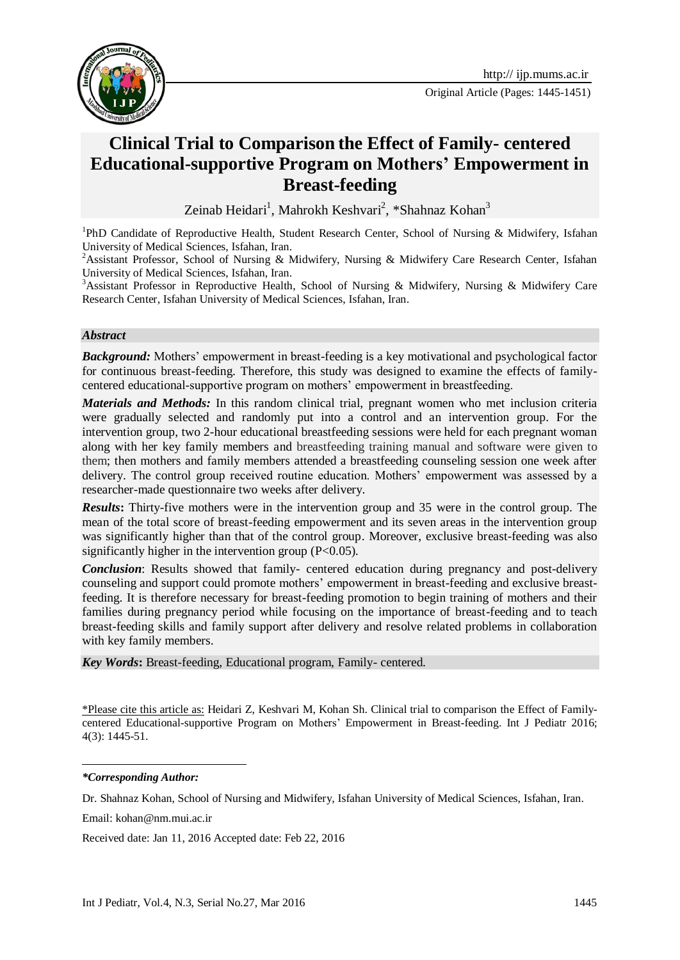

Original Article (Pages: 1445-1451)

# **Clinical Trial to Comparison the Effect of Family- centered Educational-supportive Program on Mothers' Empowerment in Breast-feeding**

Zeinab Heidari<sup>1</sup>, Mahrokh Keshvari<sup>2</sup>, \*Shahnaz Kohan<sup>3</sup>

<sup>1</sup>PhD Candidate of Reproductive Health, Student Research Center, School of Nursing & Midwifery, Isfahan University of Medical Sciences, Isfahan, Iran.

<sup>2</sup>Assistant Professor, School of Nursing & Midwifery, Nursing & Midwifery Care Research Center, Isfahan University of Medical Sciences, Isfahan, Iran.

<sup>3</sup>Assistant Professor in Reproductive Health, School of Nursing & Midwifery, Nursing & Midwifery Care Research Center, Isfahan University of Medical Sciences, Isfahan, Iran.

#### *Abstract*

*Background:* Mothers' empowerment in breast-feeding is a key motivational and psychological factor for continuous breast-feeding. Therefore, this study was designed to examine the effects of familycentered educational-supportive program on mothers' empowerment in breastfeeding.

*Materials and Methods:* In this random clinical trial, pregnant women who met inclusion criteria were gradually selected and randomly put into a control and an intervention group. For the intervention group, two 2-hour educational breastfeeding sessions were held for each pregnant woman along with her key family members and breastfeeding training manual and software were given to them; then mothers and family members attended a breastfeeding counseling session one week after delivery. The control group received routine education. Mothers' empowerment was assessed by a researcher-made questionnaire two weeks after delivery.

*Results***:** Thirty-five mothers were in the intervention group and 35 were in the control group. The mean of the total score of breast-feeding empowerment and its seven areas in the intervention group was significantly higher than that of the control group. Moreover, exclusive breast-feeding was also significantly higher in the intervention group (P<0.05).

*Conclusion*: Results showed that family- centered education during pregnancy and post-delivery counseling and support could promote mothers' empowerment in breast-feeding and exclusive breastfeeding. It is therefore necessary for breast-feeding promotion to begin training of mothers and their families during pregnancy period while focusing on the importance of breast-feeding and to teach breast-feeding skills and family support after delivery and resolve related problems in collaboration with key family members.

*Key Words***:** Breast-feeding, Educational program, Family- centered.

\*Please cite this article as: Heidari Z, Keshvari M, Kohan Sh. Clinical trial to comparison the Effect of Familycentered Educational-supportive Program on Mothers' Empowerment in Breast-feeding. Int J Pediatr 2016; 4(3): 1445-51.

-

Email: [kohan@nm.mui.ac.ir](mailto:kohan@nm.mui.ac.ir)

Received date: Jan 11, 2016 Accepted date: Feb 22, 2016

*<sup>\*</sup>Corresponding Author:*

Dr. Shahnaz Kohan, School of Nursing and Midwifery, Isfahan University of Medical Sciences, Isfahan, Iran.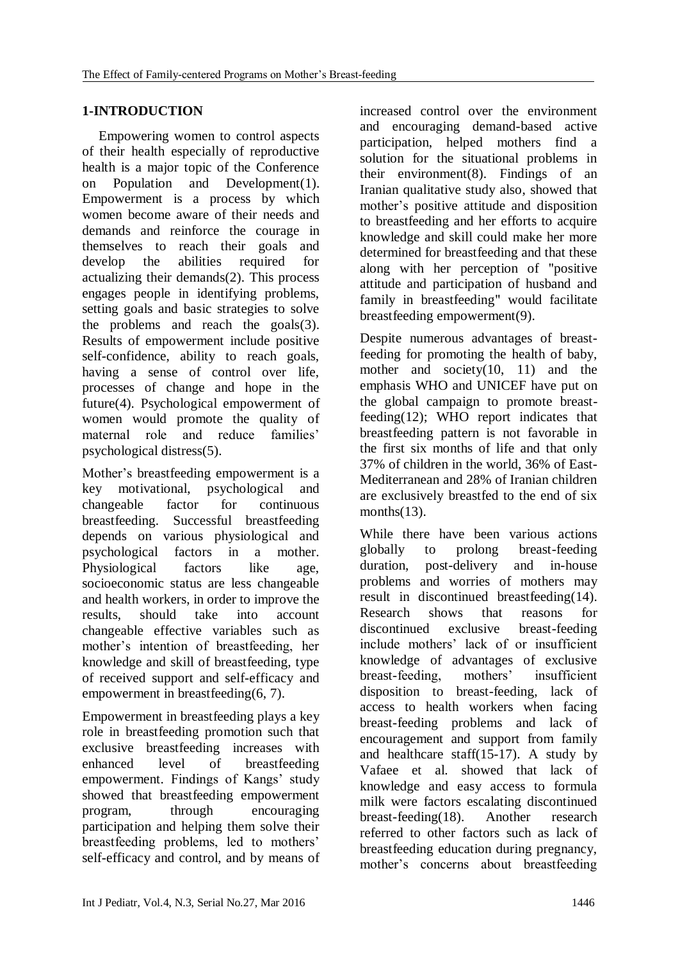#### **1-INTRODUCTION**

Empowering women to control aspects of their health especially of reproductive health is a major topic of the Conference on Population and Development[\(1\)](#page-5-0). Empowerment is a process by which women become aware of their needs and demands and reinforce the courage in themselves to reach their goals and develop the abilities required for actualizing their demands[\(2\)](#page-5-1). This process engages people in identifying problems, setting goals and basic strategies to solve the problems and reach the goals[\(3\)](#page-5-2). Results of empowerment include positive self-confidence, ability to reach goals, having a sense of control over life, processes of change and hope in the future[\(4\)](#page-5-3). Psychological empowerment of women would promote the quality of maternal role and reduce families' psychological distress[\(5\)](#page-5-4).

Mother's breastfeeding empowerment is a key motivational, psychological and changeable factor for continuous breastfeeding. Successful breastfeeding depends on various physiological and psychological factors in a mother. Physiological factors like age, socioeconomic status are less changeable and health workers, in order to improve the results, should take into account changeable effective variables such as mother's intention of breastfeeding, her knowledge and skill of breastfeeding, type of received support and self-efficacy and empowerment in breastfeeding[\(6,](#page-5-5) [7\)](#page-5-6).

Empowerment in breastfeeding plays a key role in breastfeeding promotion such that exclusive breastfeeding increases with enhanced level of breastfeeding empowerment. Findings of Kangs' study showed that breastfeeding empowerment program, through encouraging participation and helping them solve their breastfeeding problems, led to mothers' self-efficacy and control, and by means of

increased control over the environment and encouraging demand-based active participation, helped mothers find a solution for the situational problems in their environment[\(8\)](#page-6-0). Findings of an Iranian qualitative study also, showed that mother's positive attitude and disposition to breastfeeding and her efforts to acquire knowledge and skill could make her more determined for breastfeeding and that these along with her perception of "positive attitude and participation of husband and family in breastfeeding" would facilitate breastfeeding empowerment[\(9\)](#page-6-1).

Despite numerous advantages of breastfeeding for promoting the health of baby, mother and society[\(10,](#page-6-2) [11\)](#page-6-3) and the emphasis WHO and UNICEF have put on the global campaign to promote breastfeeding[\(12\)](#page-6-4); WHO report indicates that breastfeeding pattern is not favorable in the first six months of life and that only 37% of children in the world, 36% of East-Mediterranean and 28% of Iranian children are exclusively breastfed to the end of six months $(13)$ .

While there have been various actions globally to prolong breast-feeding duration, post-delivery and in-house problems and worries of mothers may result in discontinued breastfeeding[\(14\)](#page-6-6). Research shows that reasons for discontinued exclusive breast-feeding include mothers' lack of or insufficient knowledge of advantages of exclusive breast-feeding, mothers' insufficient disposition to breast-feeding, lack of access to health workers when facing breast-feeding problems and lack of encouragement and support from family and healthcare staff[\(15-17\)](#page-6-7). A study by Vafaee et al. showed that lack of knowledge and easy access to formula milk were factors escalating discontinued breast-feeding[\(18\)](#page-6-8). Another research referred to other factors such as lack of breastfeeding education during pregnancy, mother's concerns about breastfeeding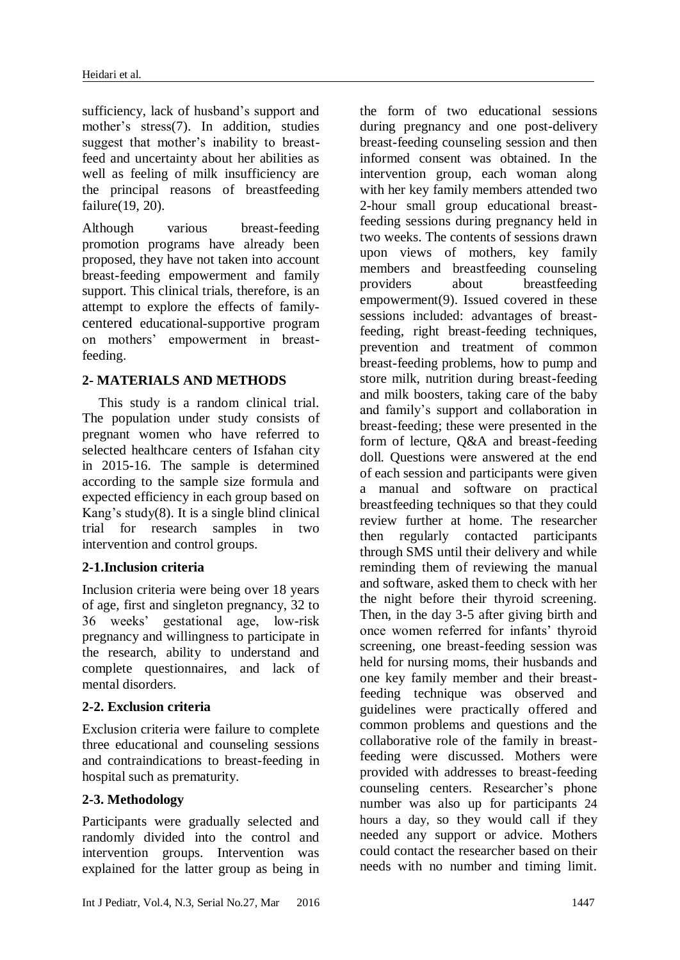sufficiency, lack of husband's support and mother's stress[\(7\)](#page-5-6). In addition, studies suggest that mother's inability to breastfeed and uncertainty about her abilities as well as feeling of milk insufficiency are the principal reasons of breastfeeding failure[\(19,](#page-6-9) [20\)](#page-6-10).

Although various breast-feeding promotion programs have already been proposed, they have not taken into account breast-feeding empowerment and family support. This clinical trials, therefore, is an attempt to explore the effects of familycentered educational-supportive program on mothers' empowerment in breastfeeding.

## **2- MATERIALS AND METHODS**

This study is a random clinical trial. The population under study consists of pregnant women who have referred to selected healthcare centers of Isfahan city in 2015-16. The sample is determined according to the sample size formula and expected efficiency in each group based on Kang's study $(8)$ . It is a single blind clinical trial for research samples in two intervention and control groups.

## **2-1.Inclusion criteria**

Inclusion criteria were being over 18 years of age, first and singleton pregnancy, 32 to 36 weeks' gestational age, low-risk pregnancy and willingness to participate in the research, ability to understand and complete questionnaires, and lack of mental disorders.

#### **2-2. Exclusion criteria**

Exclusion criteria were failure to complete three educational and counseling sessions and contraindications to breast-feeding in hospital such as prematurity.

## **2-3. Methodology**

Participants were gradually selected and randomly divided into the control and intervention groups. Intervention was explained for the latter group as being in

the form of two educational sessions during pregnancy and one post-delivery breast-feeding counseling session and then informed consent was obtained. In the intervention group, each woman along with her key family members attended two 2-hour small group educational breastfeeding sessions during pregnancy held in two weeks. The contents of sessions drawn upon views of mothers, key family members and breastfeeding counseling providers about breastfeeding empowerment[\(9\)](#page-6-1). Issued covered in these sessions included: advantages of breastfeeding, right breast-feeding techniques, prevention and treatment of common breast-feeding problems, how to pump and store milk, nutrition during breast-feeding and milk boosters, taking care of the baby and family's support and collaboration in breast-feeding; these were presented in the form of lecture, Q&A and breast-feeding doll. Questions were answered at the end of each session and participants were given a manual and software on practical breastfeeding techniques so that they could review further at home. The researcher then regularly contacted participants through SMS until their delivery and while reminding them of reviewing the manual and software, asked them to check with her the night before their thyroid screening. Then, in the day 3-5 after giving birth and once women referred for infants' thyroid screening, one breast-feeding session was held for nursing moms, their husbands and one key family member and their breastfeeding technique was observed and guidelines were practically offered and common problems and questions and the collaborative role of the family in breastfeeding were discussed. Mothers were provided with addresses to breast-feeding counseling centers. Researcher's phone number was also up for participants 24 hours a day, so they would call if they needed any support or advice. Mothers could contact the researcher based on their needs with no number and timing limit.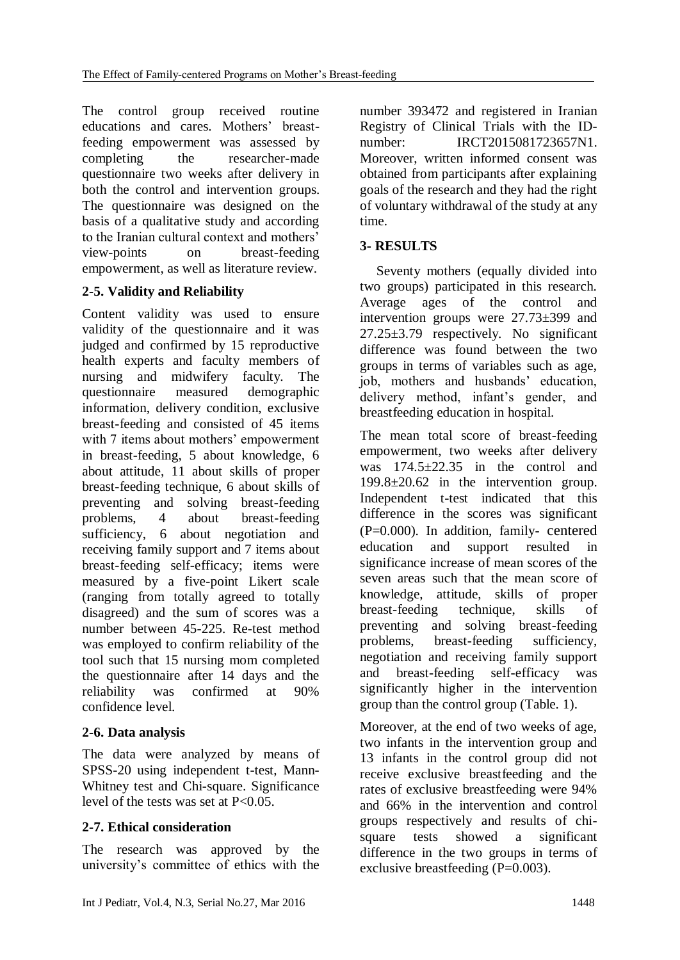The control group received routine educations and cares. Mothers' breastfeeding empowerment was assessed by completing the researcher-made questionnaire two weeks after delivery in both the control and intervention groups. The questionnaire was designed on the basis of a qualitative study and according to the Iranian cultural context and mothers' view-points on breast-feeding empowerment, as well as literature review.

# **2-5. Validity and Reliability**

Content validity was used to ensure validity of the questionnaire and it was judged and confirmed by 15 reproductive health experts and faculty members of nursing and midwifery faculty. The questionnaire measured demographic information, delivery condition, exclusive breast-feeding and consisted of 45 items with 7 items about mothers' empowerment in breast-feeding, 5 about knowledge, 6 about attitude, 11 about skills of proper breast-feeding technique, 6 about skills of preventing and solving breast-feeding problems, 4 about breast-feeding sufficiency, 6 about negotiation and receiving family support and 7 items about breast-feeding self-efficacy; items were measured by a five-point Likert scale (ranging from totally agreed to totally disagreed) and the sum of scores was a number between 45-225. Re-test method was employed to confirm reliability of the tool such that 15 nursing mom completed the questionnaire after 14 days and the reliability was confirmed at 90% confidence level.

## **2-6. Data analysis**

The data were analyzed by means of SPSS-20 using independent t-test, Mann-Whitney test and Chi-square. Significance level of the tests was set at P<0.05.

## **2-7. Ethical consideration**

The research was approved by the university's committee of ethics with the number 393472 and registered in Iranian Registry of Clinical Trials with the IDnumber: **IRCT2015081723657N1.** Moreover, written informed consent was obtained from participants after explaining goals of the research and they had the right of voluntary withdrawal of the study at any time.

## **3- RESULTS**

Seventy mothers (equally divided into two groups) participated in this research. Average ages of the control and intervention groups were 27.73±399 and 27.25±3.79 respectively. No significant difference was found between the two groups in terms of variables such as age, job, mothers and husbands' education, delivery method, infant's gender, and breastfeeding education in hospital.

The mean total score of breast-feeding empowerment, two weeks after delivery was 174.5±22.35 in the control and 199.8±20.62 in the intervention group. Independent t-test indicated that this difference in the scores was significant (P=0.000). In addition, family- centered education and support resulted in significance increase of mean scores of the seven areas such that the mean score of knowledge, attitude, skills of proper breast-feeding technique, skills of preventing and solving breast-feeding problems, breast-feeding sufficiency, negotiation and receiving family support and breast-feeding self-efficacy was significantly higher in the intervention group than the control group (Table. 1).

Moreover, at the end of two weeks of age, two infants in the intervention group and 13 infants in the control group did not receive exclusive breastfeeding and the rates of exclusive breastfeeding were 94% and 66% in the intervention and control groups respectively and results of chisquare tests showed a significant difference in the two groups in terms of exclusive breastfeeding (P=0.003).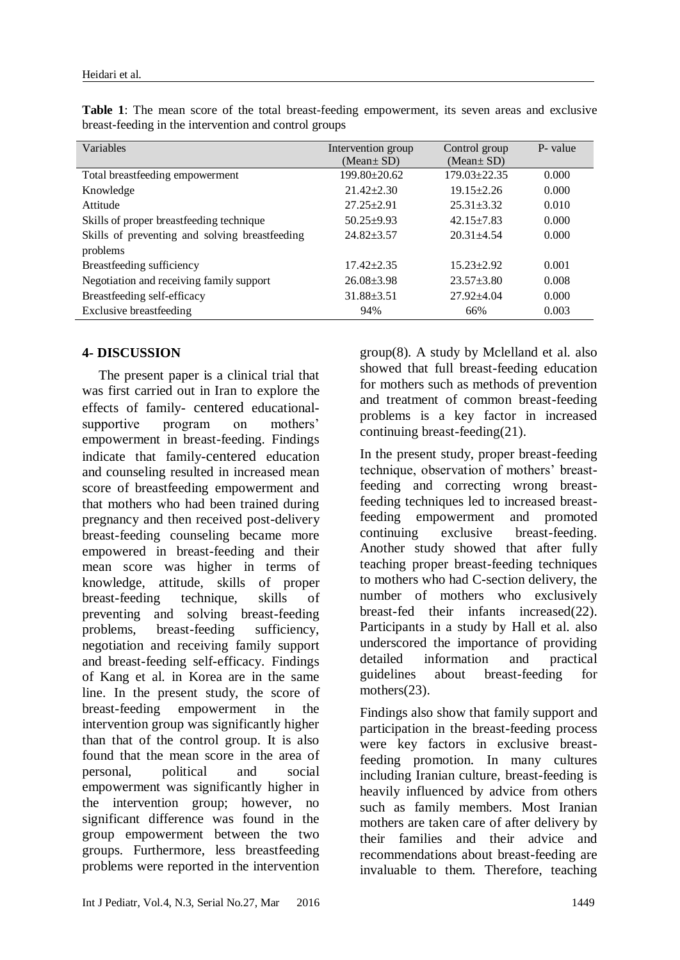| Variables                                      | Intervention group<br>(Mean $\pm$ SD) | Control group<br>$(Mean \pm SD)$ | P- value |
|------------------------------------------------|---------------------------------------|----------------------------------|----------|
| Total breastfeeding empowerment                | $199.80 \pm 20.62$                    | $179.03 \pm 22.35$               | 0.000    |
| Knowledge                                      | $21.42 \pm 2.30$                      | $19.15 \pm 2.26$                 | 0.000    |
| Attitude                                       | $27.25 \pm 2.91$                      | $25.31 + 3.32$                   | 0.010    |
| Skills of proper breastfeeding technique       | $50.25 + 9.93$                        | $42.15 + 7.83$                   | 0.000    |
| Skills of preventing and solving breastfeeding | $24.82 + 3.57$                        | $20.31 + 4.54$                   | 0.000    |
| problems                                       |                                       |                                  |          |
| Breastfeeding sufficiency                      | $17.42 \pm 2.35$                      | $15.23 \pm 2.92$                 | 0.001    |
| Negotiation and receiving family support       | $26.08 \pm 3.98$                      | $23.57 + 3.80$                   | 0.008    |
| Breastfeeding self-efficacy                    | $31.88 + 3.51$                        | $27.92 + 4.04$                   | 0.000    |
| Exclusive breastfeeding                        | 94%                                   | 66%                              | 0.003    |

**Table 1**: The mean score of the total breast-feeding empowerment, its seven areas and exclusive breast-feeding in the intervention and control groups

#### **4- DISCUSSION**

The present paper is a clinical trial that was first carried out in Iran to explore the effects of family- centered educationalsupportive program on mothers' empowerment in breast-feeding. Findings indicate that family-centered education and counseling resulted in increased mean score of breastfeeding empowerment and that mothers who had been trained during pregnancy and then received post-delivery breast-feeding counseling became more empowered in breast-feeding and their mean score was higher in terms of knowledge, attitude, skills of proper breast-feeding technique, skills of preventing and solving breast-feeding problems, breast-feeding sufficiency, negotiation and receiving family support and breast-feeding self-efficacy. Findings of Kang et al. in Korea are in the same line. In the present study, the score of breast-feeding empowerment in the intervention group was significantly higher than that of the control group. It is also found that the mean score in the area of personal, political and social empowerment was significantly higher in the intervention group; however, no significant difference was found in the group empowerment between the two groups. Furthermore, less breastfeeding problems were reported in the intervention group[\(8\)](#page-6-0). A study by Mclelland et al. also showed that full breast-feeding education for mothers such as methods of prevention and treatment of common breast-feeding problems is a key factor in increased continuing breast-feeding[\(21\)](#page-6-11).

In the present study, proper breast-feeding technique, observation of mothers' breastfeeding and correcting wrong breastfeeding techniques led to increased breastfeeding empowerment and promoted continuing exclusive breast-feeding. Another study showed that after fully teaching proper breast-feeding techniques to mothers who had C-section delivery, the number of mothers who exclusively breast-fed their infants increased[\(22\)](#page-6-12). Participants in a study by Hall et al. also underscored the importance of providing detailed information and practical guidelines about breast-feeding for mothers[\(23\)](#page-6-13).

Findings also show that family support and participation in the breast-feeding process were key factors in exclusive breastfeeding promotion. In many cultures including Iranian culture, breast-feeding is heavily influenced by advice from others such as family members. Most Iranian mothers are taken care of after delivery by their families and their advice and recommendations about breast-feeding are invaluable to them. Therefore, teaching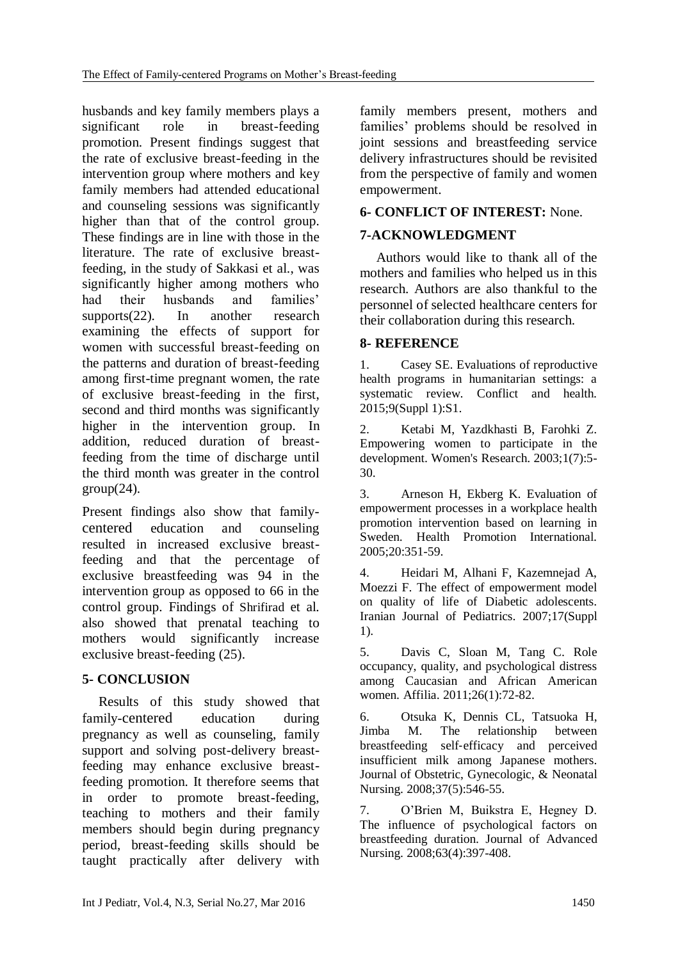husbands and key family members plays a significant role in breast-feeding promotion. Present findings suggest that the rate of exclusive breast-feeding in the intervention group where mothers and key family members had attended educational and counseling sessions was significantly higher than that of the control group. These findings are in line with those in the literature. The rate of exclusive breastfeeding, in the study of Sakkasi et al., was significantly higher among mothers who had their husbands and families' supports[\(22\)](#page-6-12). In another research examining the effects of support for women with successful breast-feeding on the patterns and duration of breast-feeding among first-time pregnant women, the rate of exclusive breast-feeding in the first, second and third months was significantly higher in the intervention group. In addition, reduced duration of breastfeeding from the time of discharge until the third month was greater in the control  $group(24)$  $group(24)$ .

Present findings also show that familycentered education and counseling resulted in increased exclusive breastfeeding and that the percentage of exclusive breastfeeding was 94 in the intervention group as opposed to 66 in the control group. Findings of Shrifirad et al. also showed that prenatal teaching to mothers would significantly increase exclusive breast-feeding [\(25\)](#page-6-15).

## **5- CONCLUSION**

Results of this study showed that family-centered education during pregnancy as well as counseling, family support and solving post-delivery breastfeeding may enhance exclusive breastfeeding promotion. It therefore seems that in order to promote breast-feeding, teaching to mothers and their family members should begin during pregnancy period, breast-feeding skills should be taught practically after delivery with

family members present, mothers and families' problems should be resolved in joint sessions and breastfeeding service delivery infrastructures should be revisited from the perspective of family and women empowerment.

## **6- CONFLICT OF INTEREST:** None.

## **7-ACKNOWLEDGMENT**

Authors would like to thank all of the mothers and families who helped us in this research. Authors are also thankful to the personnel of selected healthcare centers for their collaboration during this research.

#### **8- REFERENCE**

<span id="page-5-0"></span>1. Casey SE. Evaluations of reproductive health programs in humanitarian settings: a systematic review. Conflict and health. 2015;9(Suppl 1):S1.

<span id="page-5-1"></span>2. Ketabi M, Yazdkhasti B, Farohki Z. Empowering women to participate in the development. Women's Research. 2003;1(7):5- 30.

<span id="page-5-2"></span>3. Arneson H, Ekberg K. Evaluation of empowerment processes in a workplace health promotion intervention based on learning in Sweden. Health Promotion International. 2005;20:351-59.

<span id="page-5-3"></span>4. Heidari M, Alhani F, Kazemnejad A, Moezzi F. The effect of empowerment model on quality of life of Diabetic adolescents. Iranian Journal of Pediatrics. 2007;17(Suppl 1).

<span id="page-5-4"></span>5. Davis C, Sloan M, Tang C. Role occupancy, quality, and psychological distress among Caucasian and African American women. Affilia. 2011;26(1):72-82.

<span id="page-5-5"></span>6. Otsuka K, Dennis CL, Tatsuoka H, Jimba M. The relationship between breastfeeding self‐efficacy and perceived insufficient milk among Japanese mothers. Journal of Obstetric, Gynecologic, & Neonatal Nursing. 2008;37(5):546-55.

<span id="page-5-6"></span>7. O'Brien M, Buikstra E, Hegney D. The influence of psychological factors on breastfeeding duration. Journal of Advanced Nursing. 2008;63(4):397-408.